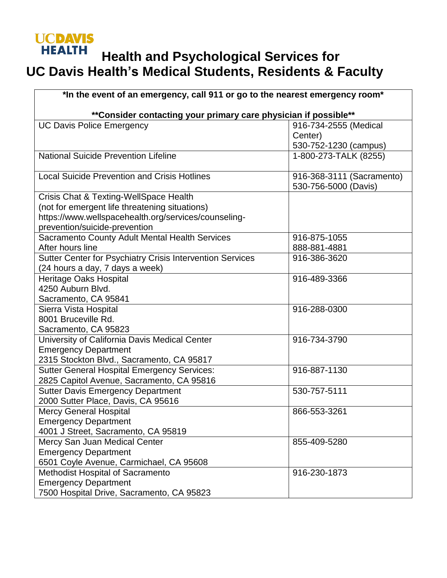## **UCDAVIS HEALTH Health and Psychological Services for UC Davis Health's Medical Students, Residents & Faculty**

| *In the event of an emergency, call 911 or go to the nearest emergency room* |                                                   |  |
|------------------------------------------------------------------------------|---------------------------------------------------|--|
| ** Consider contacting your primary care physician if possible**             |                                                   |  |
| <b>UC Davis Police Emergency</b>                                             | 916-734-2555 (Medical<br>Center)                  |  |
|                                                                              | 530-752-1230 (campus)                             |  |
| <b>National Suicide Prevention Lifeline</b>                                  | 1-800-273-TALK (8255)                             |  |
| <b>Local Suicide Prevention and Crisis Hotlines</b>                          | 916-368-3111 (Sacramento)<br>530-756-5000 (Davis) |  |
| Crisis Chat & Texting-WellSpace Health                                       |                                                   |  |
| (not for emergent life threatening situations)                               |                                                   |  |
| https://www.wellspacehealth.org/services/counseling-                         |                                                   |  |
| prevention/suicide-prevention                                                |                                                   |  |
| Sacramento County Adult Mental Health Services                               | 916-875-1055                                      |  |
| After hours line                                                             | 888-881-4881                                      |  |
| Sutter Center for Psychiatry Crisis Intervention Services                    | 916-386-3620                                      |  |
| (24 hours a day, 7 days a week)                                              |                                                   |  |
| <b>Heritage Oaks Hospital</b>                                                | 916-489-3366                                      |  |
| 4250 Auburn Blvd.                                                            |                                                   |  |
| Sacramento, CA 95841                                                         |                                                   |  |
| Sierra Vista Hospital                                                        | 916-288-0300                                      |  |
| 8001 Bruceville Rd.                                                          |                                                   |  |
| Sacramento, CA 95823                                                         |                                                   |  |
| University of California Davis Medical Center                                | 916-734-3790                                      |  |
| <b>Emergency Department</b>                                                  |                                                   |  |
| 2315 Stockton Blvd., Sacramento, CA 95817                                    |                                                   |  |
| <b>Sutter General Hospital Emergency Services:</b>                           | 916-887-1130                                      |  |
| 2825 Capitol Avenue, Sacramento, CA 95816                                    |                                                   |  |
| <b>Sutter Davis Emergency Department</b>                                     | 530-757-5111                                      |  |
| 2000 Sutter Place, Davis, CA 95616                                           |                                                   |  |
| <b>Mercy General Hospital</b>                                                | 866-553-3261                                      |  |
| <b>Emergency Department</b>                                                  |                                                   |  |
| 4001 J Street, Sacramento, CA 95819                                          |                                                   |  |
| Mercy San Juan Medical Center                                                | 855-409-5280                                      |  |
| <b>Emergency Department</b>                                                  |                                                   |  |
| 6501 Coyle Avenue, Carmichael, CA 95608                                      |                                                   |  |
| Methodist Hospital of Sacramento                                             | 916-230-1873                                      |  |
| <b>Emergency Department</b>                                                  |                                                   |  |
| 7500 Hospital Drive, Sacramento, CA 95823                                    |                                                   |  |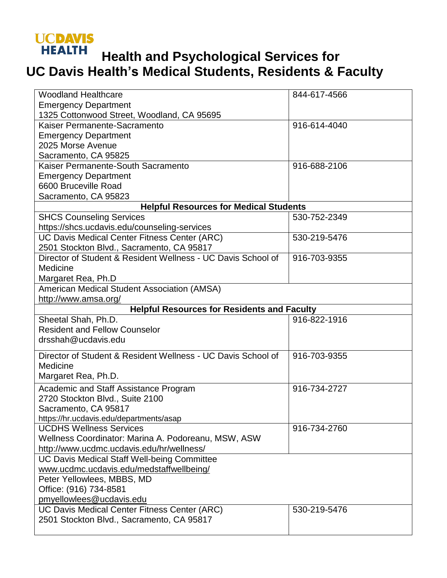## **UCDAVIS HEALTH**

## **Health and Psychological Services for UC Davis Health's Medical Students, Residents & Faculty**

| <b>Woodland Healthcare</b>                                   | 844-617-4566 |  |
|--------------------------------------------------------------|--------------|--|
| <b>Emergency Department</b>                                  |              |  |
| 1325 Cottonwood Street, Woodland, CA 95695                   |              |  |
| Kaiser Permanente-Sacramento                                 | 916-614-4040 |  |
| <b>Emergency Department</b>                                  |              |  |
| 2025 Morse Avenue                                            |              |  |
| Sacramento, CA 95825                                         |              |  |
| Kaiser Permanente-South Sacramento                           | 916-688-2106 |  |
| <b>Emergency Department</b>                                  |              |  |
| 6600 Bruceville Road                                         |              |  |
| Sacramento, CA 95823                                         |              |  |
| <b>Helpful Resources for Medical Students</b>                |              |  |
| <b>SHCS Counseling Services</b>                              | 530-752-2349 |  |
| https://shcs.ucdavis.edu/counseling-services                 |              |  |
| UC Davis Medical Center Fitness Center (ARC)                 | 530-219-5476 |  |
| 2501 Stockton Blvd., Sacramento, CA 95817                    |              |  |
| Director of Student & Resident Wellness - UC Davis School of | 916-703-9355 |  |
| Medicine                                                     |              |  |
| Margaret Rea, Ph.D                                           |              |  |
| American Medical Student Association (AMSA)                  |              |  |
| http://www.amsa.org/                                         |              |  |
| <b>Helpful Resources for Residents and Faculty</b>           |              |  |
| Sheetal Shah, Ph.D.                                          | 916-822-1916 |  |
| <b>Resident and Fellow Counselor</b>                         |              |  |
| drsshah@ucdavis.edu                                          |              |  |
| Director of Student & Resident Wellness - UC Davis School of | 916-703-9355 |  |
| Medicine                                                     |              |  |
| Margaret Rea, Ph.D.                                          |              |  |
| <b>Academic and Staff Assistance Program</b>                 | 916-734-2727 |  |
| 2720 Stockton Blvd., Suite 2100                              |              |  |
| Sacramento, CA 95817                                         |              |  |
| https://hr.ucdavis.edu/departments/asap                      |              |  |
| <b>UCDHS Wellness Services</b>                               | 916-734-2760 |  |
| Wellness Coordinator: Marina A. Podoreanu, MSW, ASW          |              |  |
| http://www.ucdmc.ucdavis.edu/hr/wellness/                    |              |  |
| UC Davis Medical Staff Well-being Committee                  |              |  |
| www.ucdmc.ucdavis.edu/medstaffwellbeing/                     |              |  |
| Peter Yellowlees, MBBS, MD                                   |              |  |
| Office: (916) 734-8581                                       |              |  |
| pmyellowlees@ucdavis.edu                                     |              |  |
| UC Davis Medical Center Fitness Center (ARC)                 | 530-219-5476 |  |
| 2501 Stockton Blvd., Sacramento, CA 95817                    |              |  |
|                                                              |              |  |